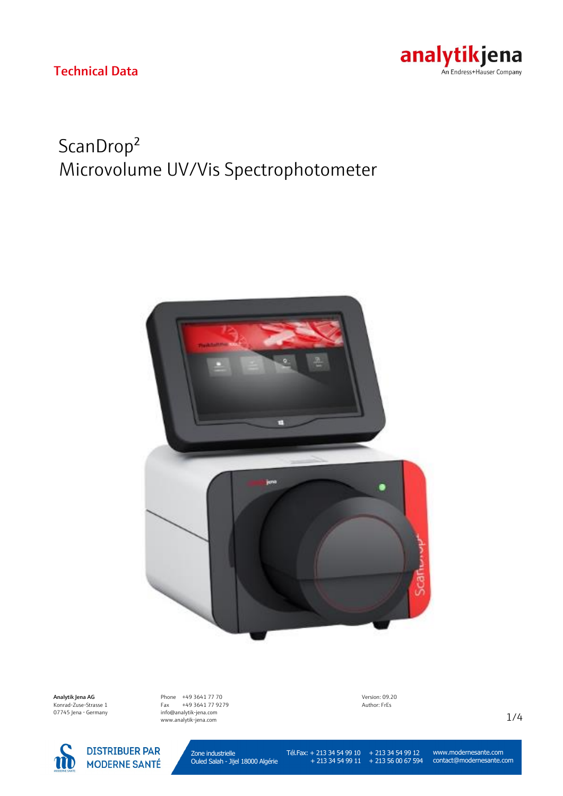

# ScanDrop² Microvolume UV/Vis Spectrophotometer

Technical Data



Analytik Jena AG Konrad-Zuse-Strasse 1 07745 Jena · Germany



Phone +49 3641 77 70 Fax +49 3641 77 9279 info@analytik-jena.com www.analytik-jena.com

Version: 09.20 Author: FrEs

1/4

Zone industrielle Ouled Salah - Jijel 18000 Algérie

Tél.Fax: + 213 34 54 99 10

 + 213 34 54 99 11 + 213 34 54 99 12 + 213 56 00 67 594

www.modernesante.com contact@modernesante.com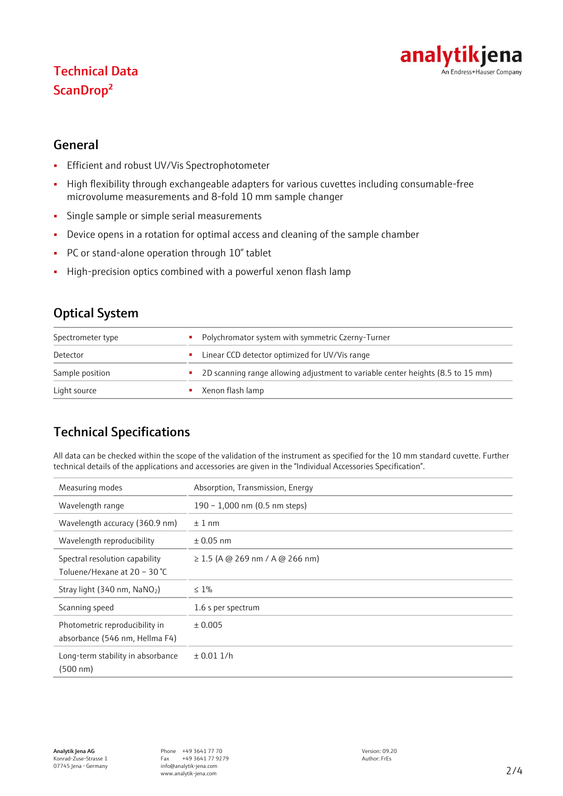# analytikjena An Endress+Hauser Company

# Technical Data ScanDrop²

#### General

- **·** Efficient and robust UV/Vis Spectrophotometer
- High flexibility through exchangeable adapters for various cuvettes including consumable-free microvolume measurements and 8-fold 10 mm sample changer
- **•** Single sample or simple serial measurements
- Device opens in a rotation for optimal access and cleaning of the sample chamber
- PC or stand-alone operation through 10'' tablet
- High-precision optics combined with a powerful xenon flash lamp

# Optical System

| Spectrometer type | Polychromator system with symmetric Czerny-Turner<br>٠                                |  |
|-------------------|---------------------------------------------------------------------------------------|--|
| Detector          | Linear CCD detector optimized for UV/Vis range<br>٠                                   |  |
| Sample position   | 2D scanning range allowing adjustment to variable center heights (8.5 to 15 mm)<br>a. |  |
| Light source      | Xenon flash lamp                                                                      |  |

# Technical Specifications

All data can be checked within the scope of the validation of the instrument as specified for the 10 mm standard cuvette. Further technical details of the applications and accessories are given in the "Individual Accessories Specification".

| Measuring modes                                                  | Absorption, Transmission, Energy     |
|------------------------------------------------------------------|--------------------------------------|
| Wavelength range                                                 | 190 - 1,000 nm (0.5 nm steps)        |
| Wavelength accuracy (360.9 nm)                                   | $±1$ nm                              |
| Wavelength reproducibility                                       | $\pm$ 0.05 nm                        |
| Spectral resolution capability<br>Toluene/Hexane at 20 - 30 °C   | $\geq$ 1.5 (A @ 269 nm / A @ 266 nm) |
| Stray light (340 nm, NaNO2)                                      | $\leq 1\%$                           |
| Scanning speed                                                   | 1.6 s per spectrum                   |
| Photometric reproducibility in<br>absorbance (546 nm, Hellma F4) | ± 0.005                              |
| Long-term stability in absorbance<br>(500 nm)                    | ± 0.0111/h                           |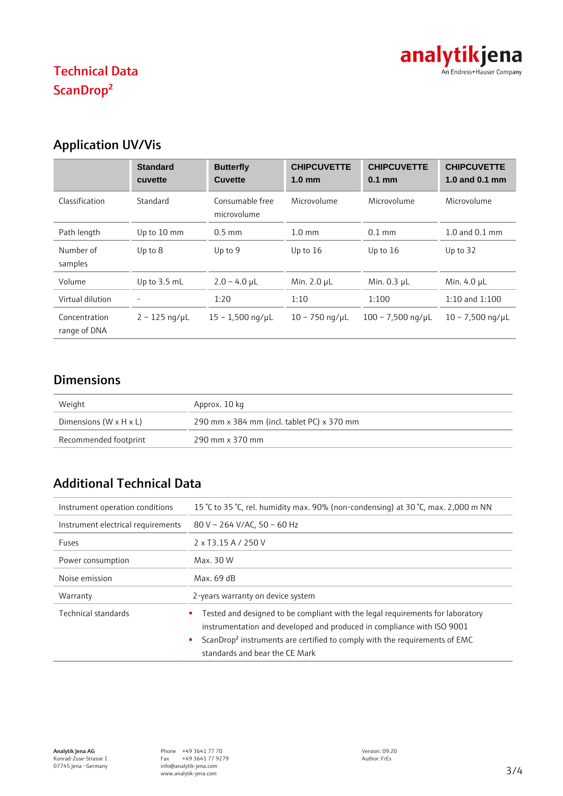

# Technical Data ScanDrop²

# Application UV/Vis

|                               | <b>Standard</b><br>cuvette | <b>Butterfly</b><br><b>Cuvette</b> | <b>CHIPCUVETTE</b><br>$1.0 \text{ mm}$ | <b>CHIPCUVETTE</b><br>$0.1$ mm | <b>CHIPCUVETTE</b><br>1.0 and 0.1 mm |
|-------------------------------|----------------------------|------------------------------------|----------------------------------------|--------------------------------|--------------------------------------|
| Classification                | Standard                   | Consumable free<br>microvolume     | Microvolume                            | Microvolume                    | Microvolume                          |
| Path length                   | Up to 10 mm                | $0.5$ mm                           | $1.0 \text{ mm}$                       | $0.1$ mm                       | $1.0$ and $0.1$ mm                   |
| Number of<br>samples          | Up to $8$                  | Up to 9                            | Up to $16$                             | Up to $16$                     | Up to 32                             |
| Volume                        | Up to 3.5 mL               | $2.0 - 4.0$ µL                     | Min. 2.0 µL                            | Min. $0.3$ $\mu$ L             | Min. 4.0 µL                          |
| Virtual dilution              |                            | 1:20                               | 1:10                                   | 1:100                          | $1:10$ and $1:100$                   |
| Concentration<br>range of DNA | $2 - 125$ ng/µL            | $15 - 1,500$ ng/µL                 | $10 - 750$ ng/µL                       | $100 - 7,500$ ng/µL            | $10 - 7,500$ ng/µL                   |

### Dimensions

| Weight                             | Approx. 10 kg                              |
|------------------------------------|--------------------------------------------|
| Dimensions $(W \times H \times L)$ | 290 mm x 384 mm (incl. tablet PC) x 370 mm |
| Recommended footprint              | 290 mm x 370 mm                            |

# Additional Technical Data

| Instrument operation conditions    | 15 °C to 35 °C, rel. humidity max. 90% (non-condensing) at 30 °C, max. 2,000 m NN                                                                                                                                                                                                         |
|------------------------------------|-------------------------------------------------------------------------------------------------------------------------------------------------------------------------------------------------------------------------------------------------------------------------------------------|
| Instrument electrical requirements | 80 V - 264 V/AC, 50 - 60 Hz                                                                                                                                                                                                                                                               |
| Fuses                              | 2 x T3.15 A / 250 V                                                                                                                                                                                                                                                                       |
| Power consumption                  | Max. 30 W                                                                                                                                                                                                                                                                                 |
| Noise emission                     | Max. 69 dB                                                                                                                                                                                                                                                                                |
| Warranty                           | 2-years warranty on device system                                                                                                                                                                                                                                                         |
| Technical standards                | Tested and designed to be compliant with the legal requirements for laboratory<br>instrumentation and developed and produced in compliance with ISO 9001<br>ScanDrop <sup>2</sup> instruments are certified to comply with the requirements of EMC<br>٠<br>standards and bear the CE Mark |